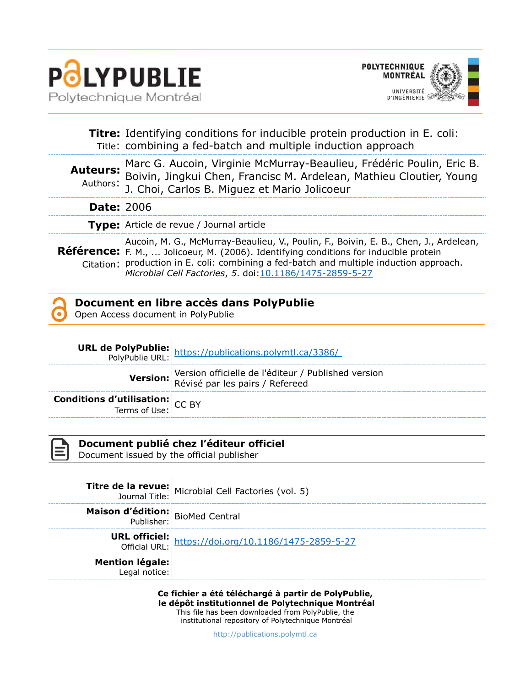

 $\bar{1}$ 



|                   | Titre: Identifying conditions for inducible protein production in E. coli:<br>Title: combining a fed-batch and multiple induction approach                                                                                                                                                                                          |
|-------------------|-------------------------------------------------------------------------------------------------------------------------------------------------------------------------------------------------------------------------------------------------------------------------------------------------------------------------------------|
|                   | Auteurs: Marc G. Aucoin, Virginie McMurray-Beaulieu, Frédéric Poulin, Eric B.<br>Authors: Boivin, Jingkui Chen, Francisc M. Ardelean, Mathieu Cloutier, Young<br>J. Choi, Carlos B. Miguez et Mario Jolicoeur                                                                                                                       |
| <b>Date: 2006</b> |                                                                                                                                                                                                                                                                                                                                     |
|                   | <b>Type:</b> Article de revue / Journal article                                                                                                                                                                                                                                                                                     |
|                   | Aucoin, M. G., McMurray-Beaulieu, V., Poulin, F., Boivin, E. B., Chen, J., Ardelean,<br>Référence: F. M.,  Jolicoeur, M. (2006). Identifying conditions for inducible protein<br>Citation: production in E. coli: combining a fed-batch and multiple induction approach.<br>Microbial Cell Factories, 5. doi:10.1186/1475-2859-5-27 |

# **Document en libre accès dans PolyPublie**

Open Access document in PolyPublie

|                                                                   | <b>URL de PolyPublie:</b> https://publications.polymtl.ca/3386/<br>PolyPublie URL: https://publications.polymtl.ca/3386/ |
|-------------------------------------------------------------------|--------------------------------------------------------------------------------------------------------------------------|
|                                                                   | Version officielle de l'éditeur / Published version<br>Révisé par les pairs / Refereed                                   |
| <b>Conditions d'utilisation:</b> $CC$ BY<br>Terms of Use: $CC$ BY |                                                                                                                          |

# **Document publié chez l'éditeur officiel**

Document issued by the official publisher

|                                         | <b>Titre de la revue:</b> Microbial Cell Factories (vol. 5)                  |
|-----------------------------------------|------------------------------------------------------------------------------|
| <b>Maison d'édition:</b> BioMed Central |                                                                              |
|                                         | <b>URL officiel:</b><br>Official URL: https://doi.org/10.1186/1475-2859-5-27 |
| <b>Mention légale:</b>                  |                                                                              |

**Ce fichier a été téléchargé à partir de PolyPublie, le dépôt institutionnel de Polytechnique Montréal**

This file has been downloaded from PolyPublie, the institutional repository of Polytechnique Montréal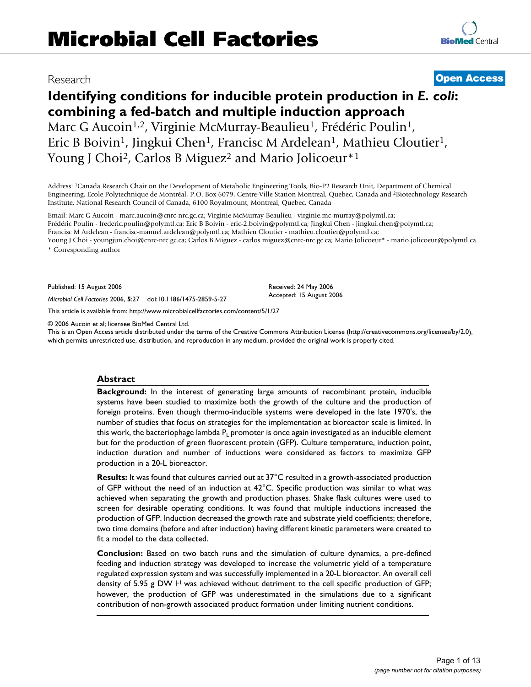# Research **[Open Access](http://www.biomedcentral.com/info/about/charter/) Identifying conditions for inducible protein production in** *E. coli***: combining a fed-batch and multiple induction approach**

Marc G Aucoin<sup>1,2</sup>, Virginie McMurray-Beaulieu<sup>1</sup>, Frédéric Poulin<sup>1</sup>, Eric B Boivin<sup>1</sup>, Jingkui Chen<sup>1</sup>, Francisc M Ardelean<sup>1</sup>, Mathieu Cloutier<sup>1</sup>, Young J Choi<sup>2</sup>, Carlos B Miguez<sup>2</sup> and Mario Jolicoeur<sup>\*1</sup>

Address: 1Canada Research Chair on the Development of Metabolic Engineering Tools, Bio-P2 Research Unit, Department of Chemical Engineering, Ecole Polytechnique de Montréal, P.O. Box 6079, Centre-Ville Station Montreal, Quebec, Canada and 2Biotechnology Research Institute, National Research Council of Canada, 6100 Royalmount, Montreal, Quebec, Canada

Email: Marc G Aucoin - marc.aucoin@cnrc-nrc.gc.ca; Virginie McMurray-Beaulieu - virginie.mc-murray@polymtl.ca; Frédéric Poulin - frederic.poulin@polymtl.ca; Eric B Boivin - eric-2.boivin@polymtl.ca; Jingkui Chen - jingkui.chen@polymtl.ca; Francisc M Ardelean - francisc-manuel.ardelean@polymtl.ca; Mathieu Cloutier - mathieu.cloutier@polymtl.ca; Young J Choi - youngjun.choi@cnrc-nrc.gc.ca; Carlos B Miguez - carlos.miguez@cnrc-nrc.gc.ca; Mario Jolicoeur\* - mario.jolicoeur@polymtl.ca \* Corresponding author

Published: 15 August 2006

*Microbial Cell Factories* 2006, **5**:27 doi:10.1186/1475-2859-5-27

[This article is available from: http://www.microbialcellfactories.com/content/5/1/27](http://www.microbialcellfactories.com/content/5/1/27)

© 2006 Aucoin et al; licensee BioMed Central Ltd.

This is an Open Access article distributed under the terms of the Creative Commons Attribution License [\(http://creativecommons.org/licenses/by/2.0\)](http://creativecommons.org/licenses/by/2.0), which permits unrestricted use, distribution, and reproduction in any medium, provided the original work is properly cited.

# **Abstract**

**Background:** In the interest of generating large amounts of recombinant protein, inducible systems have been studied to maximize both the growth of the culture and the production of foreign proteins. Even though thermo-inducible systems were developed in the late 1970's, the number of studies that focus on strategies for the implementation at bioreactor scale is limited. In this work, the bacteriophage lambda  $P<sub>1</sub>$  promoter is once again investigated as an inducible element but for the production of green fluorescent protein (GFP). Culture temperature, induction point, induction duration and number of inductions were considered as factors to maximize GFP production in a 20-L bioreactor.

**Results:** It was found that cultures carried out at 37°C resulted in a growth-associated production of GFP without the need of an induction at 42°C. Specific production was similar to what was achieved when separating the growth and production phases. Shake flask cultures were used to screen for desirable operating conditions. It was found that multiple inductions increased the production of GFP. Induction decreased the growth rate and substrate yield coefficients; therefore, two time domains (before and after induction) having different kinetic parameters were created to fit a model to the data collected.

**Conclusion:** Based on two batch runs and the simulation of culture dynamics, a pre-defined feeding and induction strategy was developed to increase the volumetric yield of a temperature regulated expression system and was successfully implemented in a 20-L bioreactor. An overall cell density of 5.95 g DW  $I<sup>1</sup>$  was achieved without detriment to the cell specific production of GFP; however, the production of GFP was underestimated in the simulations due to a significant contribution of non-growth associated product formation under limiting nutrient conditions.

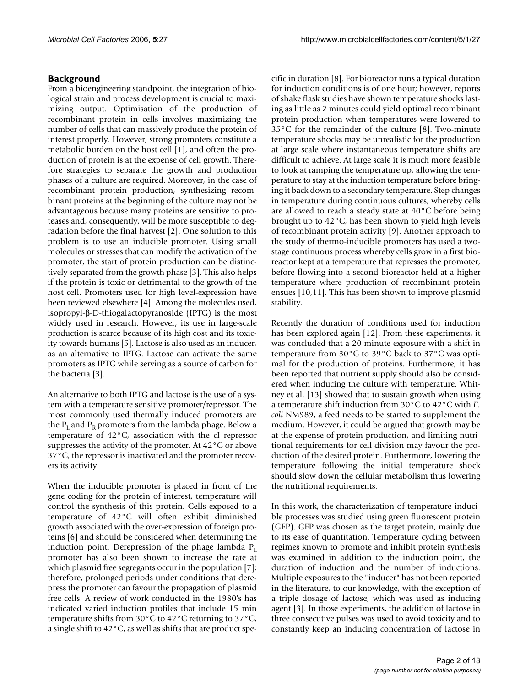### **Background**

From a bioengineering standpoint, the integration of biological strain and process development is crucial to maximizing output. Optimisation of the production of recombinant protein in cells involves maximizing the number of cells that can massively produce the protein of interest properly. However, strong promoters constitute a metabolic burden on the host cell [1], and often the production of protein is at the expense of cell growth. Therefore strategies to separate the growth and production phases of a culture are required. Moreover, in the case of recombinant protein production, synthesizing recombinant proteins at the beginning of the culture may not be advantageous because many proteins are sensitive to proteases and, consequently, will be more susceptible to degradation before the final harvest [2]. One solution to this problem is to use an inducible promoter. Using small molecules or stresses that can modify the activation of the promoter, the start of protein production can be distinctively separated from the growth phase [3]. This also helps if the protein is toxic or detrimental to the growth of the host cell. Promoters used for high level-expression have been reviewed elsewhere [4]. Among the molecules used, isopropyl-β-D-thiogalactopyranoside (IPTG) is the most widely used in research. However, its use in large-scale production is scarce because of its high cost and its toxicity towards humans [5]. Lactose is also used as an inducer, as an alternative to IPTG. Lactose can activate the same promoters as IPTG while serving as a source of carbon for the bacteria [3].

An alternative to both IPTG and lactose is the use of a system with a temperature sensitive promoter/repressor. The most commonly used thermally induced promoters are the  $P_L$  and  $P_R$  promoters from the lambda phage. Below a temperature of 42°C, association with the cI repressor suppresses the activity of the promoter. At 42°C or above 37°C, the repressor is inactivated and the promoter recovers its activity.

When the inducible promoter is placed in front of the gene coding for the protein of interest, temperature will control the synthesis of this protein. Cells exposed to a temperature of 42°C will often exhibit diminished growth associated with the over-expression of foreign proteins [6] and should be considered when determining the induction point. Derepression of the phage lambda  $\rm P_L$ promoter has also been shown to increase the rate at which plasmid free segregants occur in the population [7]; therefore, prolonged periods under conditions that derepress the promoter can favour the propagation of plasmid free cells. A review of work conducted in the 1980's has indicated varied induction profiles that include 15 min temperature shifts from 30°C to 42°C returning to 37°C, a single shift to 42°C, as well as shifts that are product specific in duration [8]. For bioreactor runs a typical duration for induction conditions is of one hour; however, reports of shake flask studies have shown temperature shocks lasting as little as 2 minutes could yield optimal recombinant protein production when temperatures were lowered to 35°C for the remainder of the culture [8]. Two-minute temperature shocks may be unrealistic for the production at large scale where instantaneous temperature shifts are difficult to achieve. At large scale it is much more feasible to look at ramping the temperature up, allowing the temperature to stay at the induction temperature before bringing it back down to a secondary temperature. Step changes in temperature during continuous cultures, whereby cells are allowed to reach a steady state at 40°C before being brought up to 42°C, has been shown to yield high levels of recombinant protein activity [9]. Another approach to the study of thermo-inducible promoters has used a twostage continuous process whereby cells grow in a first bioreactor kept at a temperature that represses the promoter, before flowing into a second bioreactor held at a higher temperature where production of recombinant protein ensues [10,11]. This has been shown to improve plasmid stability.

Recently the duration of conditions used for induction has been explored again [12]. From these experiments, it was concluded that a 20-minute exposure with a shift in temperature from 30°C to 39°C back to 37°C was optimal for the production of proteins. Furthermore, it has been reported that nutrient supply should also be considered when inducing the culture with temperature. Whitney et al. [13] showed that to sustain growth when using a temperature shift induction from 30°C to 42°C with *E. coli* NM989, a feed needs to be started to supplement the medium. However, it could be argued that growth may be at the expense of protein production, and limiting nutritional requirements for cell division may favour the production of the desired protein. Furthermore, lowering the temperature following the initial temperature shock should slow down the cellular metabolism thus lowering the nutritional requirements.

In this work, the characterization of temperature inducible processes was studied using green fluorescent protein (GFP). GFP was chosen as the target protein, mainly due to its ease of quantitation. Temperature cycling between regimes known to promote and inhibit protein synthesis was examined in addition to the induction point, the duration of induction and the number of inductions. Multiple exposures to the "inducer" has not been reported in the literature, to our knowledge, with the exception of a triple dosage of lactose, which was used as inducing agent [3]. In those experiments, the addition of lactose in three consecutive pulses was used to avoid toxicity and to constantly keep an inducing concentration of lactose in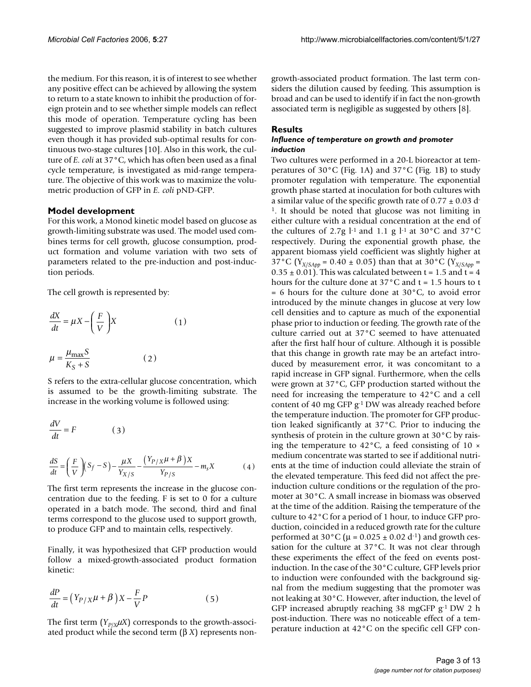the medium. For this reason, it is of interest to see whether any positive effect can be achieved by allowing the system to return to a state known to inhibit the production of foreign protein and to see whether simple models can reflect this mode of operation. Temperature cycling has been suggested to improve plasmid stability in batch cultures even though it has provided sub-optimal results for continuous two-stage cultures [10]. Also in this work, the culture of *E. coli* at 37°C, which has often been used as a final cycle temperature, is investigated as mid-range temperature. The objective of this work was to maximize the volumetric production of GFP in *E. coli* pND-GFP.

#### **Model development**

*dt V*

For this work, a Monod kinetic model based on glucose as growth-limiting substrate was used. The model used combines terms for cell growth, glucose consumption, product formation and volume variation with two sets of parameters related to the pre-induction and post-induction periods.

The cell growth is represented by:

$$
\frac{dX}{dt} = \mu X - \left(\frac{F}{V}\right)X\tag{1}
$$
\n
$$
\mu = \frac{\mu_{\text{max}}S}{K_S + S}\tag{2}
$$

S refers to the extra-cellular glucose concentration, which is assumed to be the growth-limiting substrate. The increase in the working volume is followed using:

$$
\frac{dV}{dt} = F \qquad (3)
$$

$$
\frac{dS}{dt} = \left(\frac{F}{V}\right)(S_f - S) - \frac{\mu X}{Y_{X/S}} - \frac{(Y_{P/X}\mu + \beta)X}{Y_{P/S}} - m_s X \qquad (4)
$$

The first term represents the increase in the glucose concentration due to the feeding. F is set to 0 for a culture operated in a batch mode. The second, third and final terms correspond to the glucose used to support growth, to produce GFP and to maintain cells, respectively. *P S* /

Finally, it was hypothesized that GFP production would follow a mixed-growth-associated product formation kinetic:

$$
\frac{dP}{dt} = \left(Y_{P/X}\mu + \beta\right)X - \frac{F}{V}P\tag{5}
$$

The first term  $(Y_{P/X} \mu X)$  corresponds to the growth-associated product while the second term (β *X*) represents nongrowth-associated product formation. The last term considers the dilution caused by feeding. This assumption is broad and can be used to identify if in fact the non-growth associated term is negligible as suggested by others [8].

#### **Results**

#### *Influence of temperature on growth and promoter induction*

Two cultures were performed in a 20-L bioreactor at temperatures of 30°C (Fig. 1A) and 37°C (Fig. 1B) to study promoter regulation with temperature. The exponential growth phase started at inoculation for both cultures with a similar value of the specific growth rate of  $0.77 \pm 0.03$  d-<sup>1</sup>. It should be noted that glucose was not limiting in either culture with a residual concentration at the end of the cultures of 2.7g l<sup>-1</sup> and 1.1 g l<sup>-1</sup> at 30 $^{\circ}$ C and 37 $^{\circ}$ C respectively. During the exponential growth phase, the apparent biomass yield coefficient was slightly higher at 37°C ( $Y_{X/SApp} = 0.40 \pm 0.05$ ) than that at 30°C ( $Y_{X/SApp} =$  $0.35 \pm 0.01$ ). This was calculated between t = 1.5 and t = 4 hours for the culture done at  $37^{\circ}$ C and t = 1.5 hours to t  $= 6$  hours for the culture done at 30 $^{\circ}$ C, to avoid error introduced by the minute changes in glucose at very low cell densities and to capture as much of the exponential phase prior to induction or feeding. The growth rate of the culture carried out at 37°C seemed to have attenuated after the first half hour of culture. Although it is possible that this change in growth rate may be an artefact introduced by measurement error, it was concomitant to a rapid increase in GFP signal. Furthermore, when the cells were grown at 37°C, GFP production started without the need for increasing the temperature to 42°C and a cell content of 40 mg GFP g-1 DW was already reached before the temperature induction. The promoter for GFP production leaked significantly at 37°C. Prior to inducing the synthesis of protein in the culture grown at 30°C by raising the temperature to  $42^{\circ}$ C, a feed consisting of 10  $\times$ medium concentrate was started to see if additional nutrients at the time of induction could alleviate the strain of the elevated temperature. This feed did not affect the preinduction culture conditions or the regulation of the promoter at 30°C. A small increase in biomass was observed at the time of the addition. Raising the temperature of the culture to 42°C for a period of 1 hour, to induce GFP production, coincided in a reduced growth rate for the culture performed at 30 $^{\circ}$ C ( $\mu$  = 0.025  $\pm$  0.02 d<sup>-1</sup>) and growth cessation for the culture at 37°C. It was not clear through these experiments the effect of the feed on events postinduction. In the case of the 30°C culture, GFP levels prior to induction were confounded with the background signal from the medium suggesting that the promoter was not leaking at 30°C. However, after induction, the level of GFP increased abruptly reaching 38 mgGFP  $g^{-1}$  DW 2 h post-induction. There was no noticeable effect of a temperature induction at 42°C on the specific cell GFP con-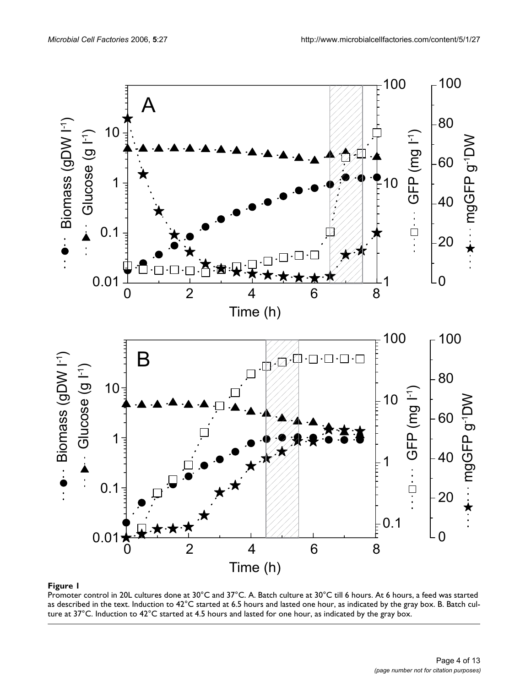

### **Figure 1**

Promoter control in 20L cultures done at 30°C and 37°C. A. Batch culture at 30°C till 6 hours. At 6 hours, a feed was started as described in the text. Induction to 42°C started at 6.5 hours and lasted one hour, as indicated by the gray box. B. Batch cul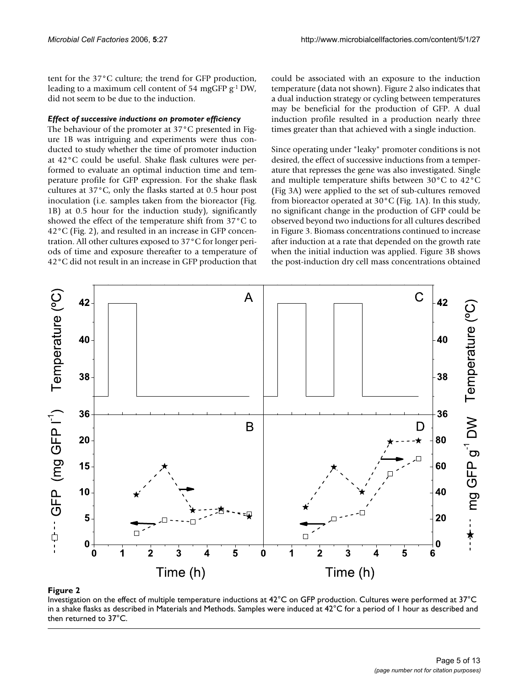tent for the 37°C culture; the trend for GFP production, leading to a maximum cell content of 54 mgGFP  $g^{-1}$  DW, did not seem to be due to the induction.

## *Effect of successive inductions on promoter efficiency*

The behaviour of the promoter at 37°C presented in Figure 1B was intriguing and experiments were thus conducted to study whether the time of promoter induction at 42°C could be useful. Shake flask cultures were performed to evaluate an optimal induction time and temperature profile for GFP expression. For the shake flask cultures at 37°C, only the flasks started at 0.5 hour post inoculation (i.e. samples taken from the bioreactor (Fig. 1B) at 0.5 hour for the induction study), significantly showed the effect of the temperature shift from 37°C to 42°C (Fig. 2), and resulted in an increase in GFP concentration. All other cultures exposed to 37°C for longer periods of time and exposure thereafter to a temperature of 42°C did not result in an increase in GFP production that could be associated with an exposure to the induction temperature (data not shown). Figure 2 also indicates that a dual induction strategy or cycling between temperatures may be beneficial for the production of GFP. A dual induction profile resulted in a production nearly three times greater than that achieved with a single induction.

Since operating under "leaky" promoter conditions is not desired, the effect of successive inductions from a temperature that represses the gene was also investigated. Single and multiple temperature shifts between 30°C to 42°C (Fig 3A) were applied to the set of sub-cultures removed from bioreactor operated at 30°C (Fig. 1A). In this study, no significant change in the production of GFP could be observed beyond two inductions for all cultures described in Figure 3. Biomass concentrations continued to increase after induction at a rate that depended on the growth rate when the initial induction was applied. Figure 3B shows the post-induction dry cell mass concentrations obtained



### Investigation on the effect of multiple temp **Figure 2** erature inductions at 42°C on GFP production

Investigation on the effect of multiple temperature inductions at 42°C on GFP production. Cultures were performed at 37°C in a shake flasks as described in Materials and Methods. Samples were induced at 42°C for a period of 1 hour as described and then returned to 37°C.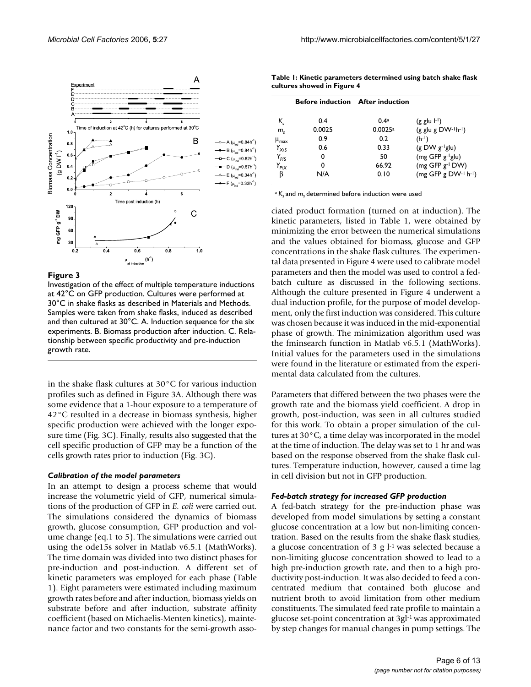

#### $(A(\mu_1 = 0.84h^{-1}))$  $-B (\mu_{ind} = 0.84 h^{-1})$  $-0$  C ( $\mu_{\text{ind}}$ =0.82h<sup>-1</sup>)  $D(\mu_{\text{ind}} = 0.67 h^{-1})$  $\rightarrow$  E ( $\mu_{\text{ind}}$ =0.34h<sup>-1</sup>)  $-F(\mu_{\text{hot}}=0.33h^{-1})$

### Figure 3

Investigation of the effect of multiple temperature inductions at 42°C on GFP production. Cultures were performed at 30°C in shake flasks as described in Materials and Methods. Samples were taken from shake flasks, induced as described and then cultured at 30°C. A. Induction sequence for the six experiments. B. Biomass production after induction. C. Relationship between specific productivity and pre-induction growth rate.

in the shake flask cultures at 30°C for various induction profiles such as defined in Figure 3A. Although there was some evidence that a 1-hour exposure to a temperature of 42°C resulted in a decrease in biomass synthesis, higher specific production were achieved with the longer exposure time (Fig. 3C). Finally, results also suggested that the cell specific production of GFP may be a function of the cells growth rates prior to induction (Fig. 3C).

#### *Calibration of the model parameters*

In an attempt to design a process scheme that would increase the volumetric yield of GFP, numerical simulations of the production of GFP in *E. coli* were carried out. The simulations considered the dynamics of biomass growth, glucose consumption, GFP production and volume change (eq.1 to 5). The simulations were carried out using the ode15s solver in Matlab v6.5.1 (MathWorks). The time domain was divided into two distinct phases for pre-induction and post-induction. A different set of kinetic parameters was employed for each phase (Table 1). Eight parameters were estimated including maximum growth rates before and after induction, biomass yields on substrate before and after induction, substrate affinity coefficient (based on Michaelis-Menten kinetics), maintenance factor and two constants for the semi-growth asso-

| Table 1: Kinetic parameters determined using batch shake flask |  |  |
|----------------------------------------------------------------|--|--|
| cultures showed in Figure 4                                    |  |  |

|                    | <b>Before induction</b> After induction |         |                                 |
|--------------------|-----------------------------------------|---------|---------------------------------|
| Κ.                 | 0.4                                     | 0.4a    | $(g$ glu $I^{-1}$               |
| $m_{\rm c}$        | 0.0025                                  | 0.0025a | $(g$ glu g DW- $\vert h^{-1}$ ) |
| $\mu_{\text{max}}$ | 0.9                                     | 0.2     | $(h^{-1})$                      |
| $Y_{X/S}$          | 0.6                                     | 0.33    | $(g$ DW $g^{-1}glu)$            |
| $Y_{P/S}$          | 0                                       | 50      | $(mg GFP g-1glu)$               |
| Y <sub>pix</sub>   | 0                                       | 66.92   | (mg GFP g-1 DW)                 |
| ß                  | N/A                                     | 0.10    | $(mg GFP g DW-1 h-1)$           |

<sup>a</sup> K<sub>s</sub> and m<sub>s</sub> determined before induction were used

ciated product formation (turned on at induction). The kinetic parameters, listed in Table 1, were obtained by minimizing the error between the numerical simulations and the values obtained for biomass, glucose and GFP concentrations in the shake flask cultures. The experimental data presented in Figure 4 were used to calibrate model parameters and then the model was used to control a fedbatch culture as discussed in the following sections. Although the culture presented in Figure 4 underwent a dual induction profile, for the purpose of model development, only the first induction was considered. This culture was chosen because it was induced in the mid-exponential phase of growth. The minimization algorithm used was the fminsearch function in Matlab v6.5.1 (MathWorks). Initial values for the parameters used in the simulations were found in the literature or estimated from the experimental data calculated from the cultures.

Parameters that differed between the two phases were the growth rate and the biomass yield coefficient. A drop in growth, post-induction, was seen in all cultures studied for this work. To obtain a proper simulation of the cultures at 30°C, a time delay was incorporated in the model at the time of induction. The delay was set to 1 hr and was based on the response observed from the shake flask cultures. Temperature induction, however, caused a time lag in cell division but not in GFP production.

### *Fed-batch strategy for increased GFP production*

A fed-batch strategy for the pre-induction phase was developed from model simulations by setting a constant glucose concentration at a low but non-limiting concentration. Based on the results from the shake flask studies, a glucose concentration of 3 g  $l$ <sup>-1</sup> was selected because a non-limiting glucose concentration showed to lead to a high pre-induction growth rate, and then to a high productivity post-induction. It was also decided to feed a concentrated medium that contained both glucose and nutrient broth to avoid limitation from other medium constituents. The simulated feed rate profile to maintain a glucose set-point concentration at 3gl-1 was approximated by step changes for manual changes in pump settings. The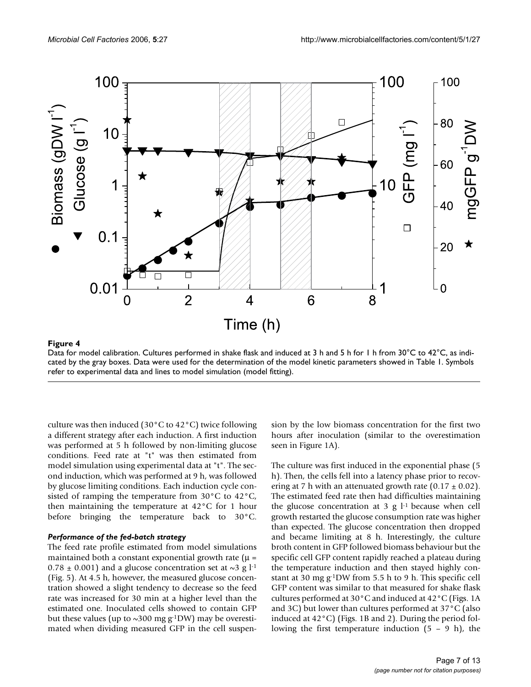

**Figure 4** 

Data for model calibration. Cultures performed in shake flask and induced at 3 h and 5 h for 1 h from 30°C to 42°C, as indicated by the gray boxes. Data were used for the determination of the model kinetic parameters showed in Table 1. Symbols refer to experimental data and lines to model simulation (model fitting).

culture was then induced (30°C to 42°C) twice following a different strategy after each induction. A first induction was performed at 5 h followed by non-limiting glucose conditions. Feed rate at "t" was then estimated from model simulation using experimental data at "t". The second induction, which was performed at 9 h, was followed by glucose limiting conditions. Each induction cycle consisted of ramping the temperature from 30°C to 42°C, then maintaining the temperature at 42°C for 1 hour before bringing the temperature back to 30°C.

#### *Performance of the fed-batch strategy*

The feed rate profile estimated from model simulations maintained both a constant exponential growth rate ( $\mu$  =  $0.78 \pm 0.001$ ) and a glucose concentration set at ~3 g l<sup>-1</sup> (Fig. 5). At 4.5 h, however, the measured glucose concentration showed a slight tendency to decrease so the feed rate was increased for 30 min at a higher level than the estimated one. Inoculated cells showed to contain GFP but these values (up to  $\sim$ 300 mg g<sup>-1</sup>DW) may be overestimated when dividing measured GFP in the cell suspension by the low biomass concentration for the first two hours after inoculation (similar to the overestimation seen in Figure 1A).

The culture was first induced in the exponential phase (5 h). Then, the cells fell into a latency phase prior to recovering at 7 h with an attenuated growth rate  $(0.17 \pm 0.02)$ . The estimated feed rate then had difficulties maintaining the glucose concentration at 3 g  $l<sup>-1</sup>$  because when cell growth restarted the glucose consumption rate was higher than expected. The glucose concentration then dropped and became limiting at 8 h. Interestingly, the culture broth content in GFP followed biomass behaviour but the specific cell GFP content rapidly reached a plateau during the temperature induction and then stayed highly constant at 30 mg g-1DW from 5.5 h to 9 h. This specific cell GFP content was similar to that measured for shake flask cultures performed at 30°C and induced at 42°C (Figs. 1A and 3C) but lower than cultures performed at 37°C (also induced at 42°C) (Figs. 1B and 2). During the period following the first temperature induction (5 – 9 h), the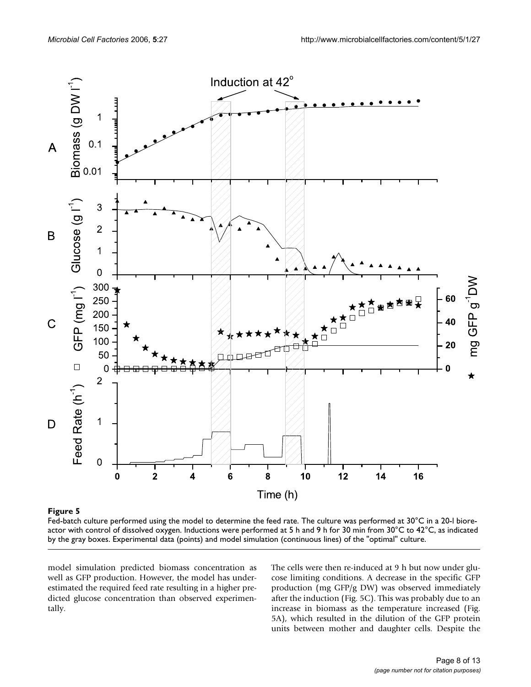

#### Figure 5

Fed-batch culture performed using the model to determine the feed rate. The culture was performed at 30°C in a 20-l bioreactor with control of dissolved oxygen. Inductions were performed at 5 h and 9 h for 30 min from 30°C to 42°C, as indicated by the gray boxes. Experimental data (points) and model simulation (continuous lines) of the "optimal" culture.

model simulation predicted biomass concentration as well as GFP production. However, the model has underestimated the required feed rate resulting in a higher predicted glucose concentration than observed experimentally.

The cells were then re-induced at 9 h but now under glucose limiting conditions. A decrease in the specific GFP production (mg GFP/g DW) was observed immediately after the induction (Fig. 5C). This was probably due to an increase in biomass as the temperature increased (Fig. 5A), which resulted in the dilution of the GFP protein units between mother and daughter cells. Despite the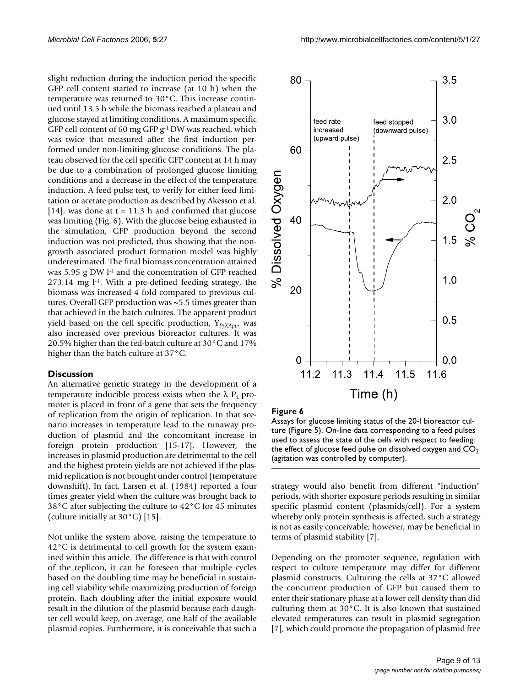slight reduction during the induction period the specific GFP cell content started to increase (at 10 h) when the temperature was returned to 30°C. This increase continued until 13.5 h while the biomass reached a plateau and glucose stayed at limiting conditions. A maximum specific GFP cell content of 60 mg GFP g-1 DW was reached, which was twice that measured after the first induction performed under non-limiting glucose conditions. The plateau observed for the cell specific GFP content at 14 h may be due to a combination of prolonged glucose limiting conditions and a decrease in the effect of the temperature induction. A feed pulse test, to verify for either feed limitation or acetate production as described by Akesson et al. [14], was done at  $t = 11.3$  h and confirmed that glucose was limiting (Fig. 6). With the glucose being exhausted in the simulation, GFP production beyond the second induction was not predicted, thus showing that the nongrowth associated product formation model was highly underestimated. The final biomass concentration attained was 5.95 g DW  $l$ <sup>-1</sup> and the concentration of GFP reached 273.14 mg l-1. With a pre-defined feeding strategy, the biomass was increased 4 fold compared to previous cultures. Overall GFP production was  $\sim$  5.5 times greater than that achieved in the batch cultures. The apparent product yield based on the cell specific production, Y*P*/*XApp*, was also increased over previous bioreactor cultures. It was 20.5% higher than the fed-batch culture at 30°C and 17% higher than the batch culture at 37°C.

#### **Discussion**

An alternative genetic strategy in the development of a temperature inducible process exists when the  $\lambda$  P<sub>L</sub> promoter is placed in front of a gene that sets the frequency of replication from the origin of replication. In that scenario increases in temperature lead to the runaway production of plasmid and the concomitant increase in foreign protein production [15-17]. However, the increases in plasmid production are detrimental to the cell and the highest protein yields are not achieved if the plasmid replication is not brought under control (temperature downshift). In fact, Larsen et al. (1984) reported a four times greater yield when the culture was brought back to 38°C after subjecting the culture to 42°C for 45 minutes (culture initially at 30°C) [15].

Not unlike the system above, raising the temperature to 42°C is detrimental to cell growth for the system examined within this article. The difference is that with control of the replicon, it can be foreseen that multiple cycles based on the doubling time may be beneficial in sustaining cell viability while maximizing production of foreign protein. Each doubling after the initial exposure would result in the dilution of the plasmid because each daughter cell would keep, on average, one half of the available plasmid copies. Furthermore, it is conceivable that such a



#### Figure 6

Assays for glucose limiting status of the 20-l bioreactor culture (Figure 5). On-line data corresponding to a feed pulses used to assess the state of the cells with respect to feeding: the effect of glucose feed pulse on dissolved oxygen and  $CO<sub>2</sub>$ (agitation was controlled by computer).

strategy would also benefit from different "induction" periods, with shorter exposure periods resulting in similar specific plasmid content (plasmids/cell). For a system whereby only protein synthesis is affected, such a strategy is not as easily conceivable; however, may be beneficial in terms of plasmid stability [7].

Depending on the promoter sequence, regulation with respect to culture temperature may differ for different plasmid constructs. Culturing the cells at 37°C allowed the concurrent production of GFP but caused them to enter their stationary phase at a lower cell density than did culturing them at 30°C. It is also known that sustained elevated temperatures can result in plasmid segregation [7], which could promote the propagation of plasmid free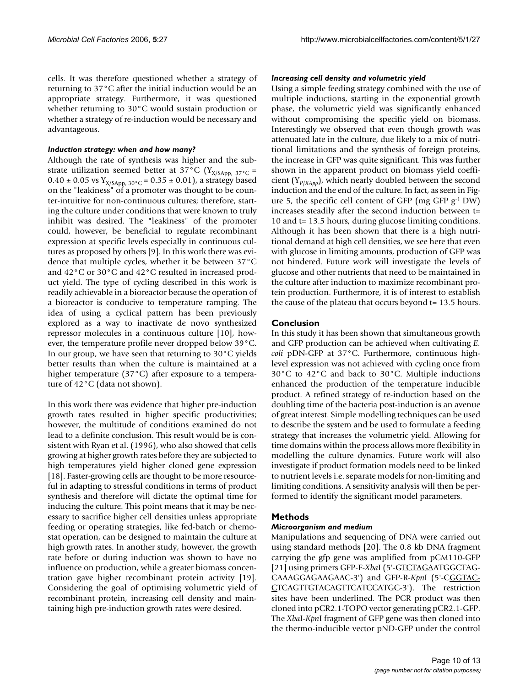cells. It was therefore questioned whether a strategy of returning to 37°C after the initial induction would be an appropriate strategy. Furthermore, it was questioned whether returning to 30°C would sustain production or whether a strategy of re-induction would be necessary and advantageous.

## *Induction strategy: when and how many?*

Although the rate of synthesis was higher and the substrate utilization seemed better at 37°C ( $Y_{X/SApp, 37^{\circ}C}$  =  $0.40\pm0.05$  vs  ${\rm Y_{X/SApp,~30^{\circ}C}}$  = 0.35  $\pm$  0.01), a strategy based on the "leakiness" of a promoter was thought to be counter-intuitive for non-continuous cultures; therefore, starting the culture under conditions that were known to truly inhibit was desired. The "leakiness" of the promoter could, however, be beneficial to regulate recombinant expression at specific levels especially in continuous cultures as proposed by others [9]. In this work there was evidence that multiple cycles, whether it be between 37°C and 42°C or 30°C and 42°C resulted in increased product yield. The type of cycling described in this work is readily achievable in a bioreactor because the operation of a bioreactor is conducive to temperature ramping. The idea of using a cyclical pattern has been previously explored as a way to inactivate de novo synthesized repressor molecules in a continuous culture [10], however, the temperature profile never dropped below 39°C. In our group, we have seen that returning to 30°C yields better results than when the culture is maintained at a higher temperature (37°C) after exposure to a temperature of 42°C (data not shown).

In this work there was evidence that higher pre-induction growth rates resulted in higher specific productivities; however, the multitude of conditions examined do not lead to a definite conclusion. This result would be is consistent with Ryan et al. (1996), who also showed that cells growing at higher growth rates before they are subjected to high temperatures yield higher cloned gene expression [18]. Faster-growing cells are thought to be more resourceful in adapting to stressful conditions in terms of product synthesis and therefore will dictate the optimal time for inducing the culture. This point means that it may be necessary to sacrifice higher cell densities unless appropriate feeding or operating strategies, like fed-batch or chemostat operation, can be designed to maintain the culture at high growth rates. In another study, however, the growth rate before or during induction was shown to have no influence on production, while a greater biomass concentration gave higher recombinant protein activity [19]. Considering the goal of optimising volumetric yield of recombinant protein, increasing cell density and maintaining high pre-induction growth rates were desired.

# *Increasing cell density and volumetric yield*

Using a simple feeding strategy combined with the use of multiple inductions, starting in the exponential growth phase, the volumetric yield was significantly enhanced without compromising the specific yield on biomass. Interestingly we observed that even though growth was attenuated late in the culture, due likely to a mix of nutritional limitations and the synthesis of foreign proteins, the increase in GFP was quite significant. This was further shown in the apparent product on biomass yield coefficient (Y*P*/*XApp*), which nearly doubled between the second induction and the end of the culture. In fact, as seen in Figure 5, the specific cell content of GFP (mg GFP  $g^{-1}$  DW) increases steadily after the second induction between t= 10 and t= 13.5 hours, during glucose limiting conditions. Although it has been shown that there is a high nutritional demand at high cell densities, we see here that even with glucose in limiting amounts, production of GFP was not hindered. Future work will investigate the levels of glucose and other nutrients that need to be maintained in the culture after induction to maximize recombinant protein production. Furthermore, it is of interest to establish the cause of the plateau that occurs beyond t= 13.5 hours.

# **Conclusion**

In this study it has been shown that simultaneous growth and GFP production can be achieved when cultivating *E. coli* pDN-GFP at 37°C. Furthermore, continuous highlevel expression was not achieved with cycling once from 30°C to 42°C and back to 30°C. Multiple inductions enhanced the production of the temperature inducible product. A refined strategy of re-induction based on the doubling time of the bacteria post-induction is an avenue of great interest. Simple modelling techniques can be used to describe the system and be used to formulate a feeding strategy that increases the volumetric yield. Allowing for time domains within the process allows more flexibility in modelling the culture dynamics. Future work will also investigate if product formation models need to be linked to nutrient levels i.e. separate models for non-limiting and limiting conditions. A sensitivity analysis will then be performed to identify the significant model parameters.

# **Methods**

# *Microorganism and medium*

Manipulations and sequencing of DNA were carried out using standard methods [20]. The 0.8 kb DNA fragment carrying the gfp gene was amplified from pCM110-GFP [21] using primers GFP-F-*Xba*I (5'-GTCTAGAATGGCTAG-CAAAGGAGAAGAAC-3') and GFP-R-*Kpn*I (5'-CGGTAC-CTCAGTTGTACAGTTCATCCATGC-3'). The restriction sites have been underlined. The PCR product was then cloned into pCR2.1-TOPO vector generating pCR2.1-GFP. The *Xba*I-*Kpn*I fragment of GFP gene was then cloned into the thermo-inducible vector pND-GFP under the control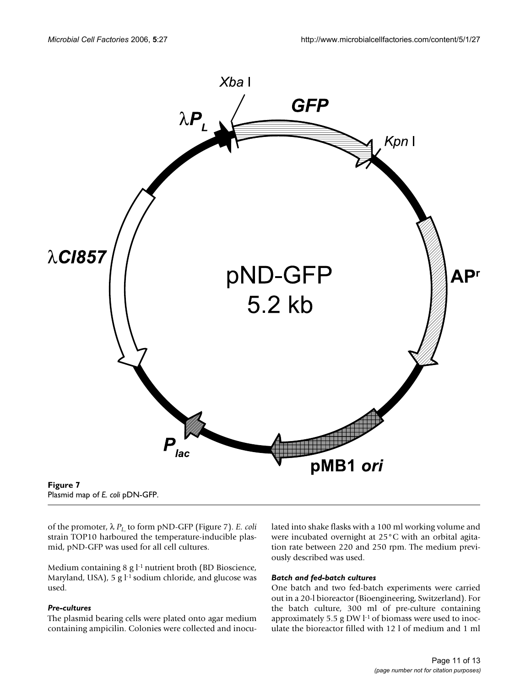



of the promoter,  $\lambda P_L$  to form pND-GFP (Figure 7). *E. coli* strain TOP10 harboured the temperature-inducible plasmid, pND-GFP was used for all cell cultures.

Medium containing 8 g l-1 nutrient broth (BD Bioscience, Maryland, USA), 5 g  $l$ <sup>-1</sup> sodium chloride, and glucose was used.

### *Pre-cultures*

The plasmid bearing cells were plated onto agar medium containing ampicilin. Colonies were collected and inoculated into shake flasks with a 100 ml working volume and were incubated overnight at 25°C with an orbital agitation rate between 220 and 250 rpm. The medium previously described was used.

# *Batch and fed-batch cultures*

One batch and two fed-batch experiments were carried out in a 20-l bioreactor (Bioengineering, Switzerland). For the batch culture, 300 ml of pre-culture containing approximately 5.5 g DW l-1 of biomass were used to inoculate the bioreactor filled with 12 l of medium and 1 ml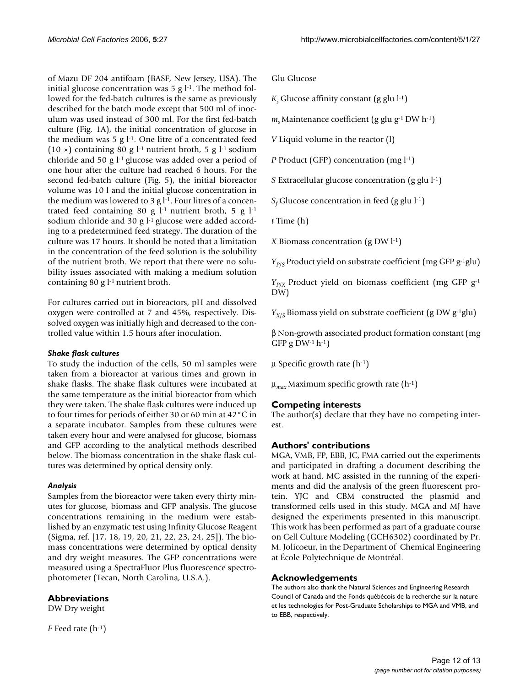of Mazu DF 204 antifoam (BASF, New Jersey, USA). The initial glucose concentration was  $5$  g  $l<sup>-1</sup>$ . The method followed for the fed-batch cultures is the same as previously described for the batch mode except that 500 ml of inoculum was used instead of 300 ml. For the first fed-batch culture (Fig. 1A), the initial concentration of glucose in the medium was  $5$  g  $l$ <sup>-1</sup>. One litre of a concentrated feed (10  $\times$ ) containing 80 g l<sup>-1</sup> nutrient broth, 5 g l<sup>-1</sup> sodium chloride and 50 g  $l$ -1 glucose was added over a period of one hour after the culture had reached 6 hours. For the second fed-batch culture (Fig. 5), the initial bioreactor volume was 10 l and the initial glucose concentration in the medium was lowered to 3 g  $l$ <sup>-1</sup>. Four litres of a concentrated feed containing 80 g  $l$ <sup>-1</sup> nutrient broth, 5 g  $l$ <sup>-1</sup> sodium chloride and 30 g l<sup>-1</sup> glucose were added according to a predetermined feed strategy. The duration of the culture was 17 hours. It should be noted that a limitation in the concentration of the feed solution is the solubility of the nutrient broth. We report that there were no solubility issues associated with making a medium solution containing 80 g l-1 nutrient broth.

For cultures carried out in bioreactors, pH and dissolved oxygen were controlled at 7 and 45%, respectively. Dissolved oxygen was initially high and decreased to the controlled value within 1.5 hours after inoculation.

### *Shake flask cultures*

To study the induction of the cells, 50 ml samples were taken from a bioreactor at various times and grown in shake flasks. The shake flask cultures were incubated at the same temperature as the initial bioreactor from which they were taken. The shake flask cultures were induced up to four times for periods of either 30 or 60 min at 42°C in a separate incubator. Samples from these cultures were taken every hour and were analysed for glucose, biomass and GFP according to the analytical methods described below. The biomass concentration in the shake flask cultures was determined by optical density only.

# *Analysis*

Samples from the bioreactor were taken every thirty minutes for glucose, biomass and GFP analysis. The glucose concentrations remaining in the medium were established by an enzymatic test using Infinity Glucose Reagent (Sigma, ref. [17, 18, 19, 20, 21, 22, 23, 24, 25]). The biomass concentrations were determined by optical density and dry weight measures. The GFP concentrations were measured using a SpectraFluor Plus fluorescence spectrophotometer (Tecan, North Carolina, U.S.A.).

# **Abbreviations**

DW Dry weight

*F* Feed rate (h-1)

Glu Glucose

 $K_s$  Glucose affinity constant (g glu  $l^{-1}$ )

 $m_s$  Maintenance coefficient (g glu g<sup>-1</sup> DW h<sup>-1</sup>)

*V* Liquid volume in the reactor (l)

*P* Product (GFP) concentration (mg l-1)

*S* Extracellular glucose concentration (g glu l<sup>-1</sup>)

 $S_f$  Glucose concentration in feed (g glu l<sup>-1</sup>)

*t* Time (h)

*X* Biomass concentration (g DW l<sup>-1</sup>)

*Y*<sub>*P/S</sub>* Product yield on substrate coefficient (mg GFP g<sup>-1</sup>glu)</sub>

*Y*<sub>*P/X</sub>* Product yield on biomass coefficient (mg GFP g<sup>-1</sup>)</sub> DW)

 $Y_{X/S}$  Biomass yield on substrate coefficient (g DW g<sup>-1</sup>glu)

β Non-growth associated product formation constant (mg  $GFP g DW-1 h-1)$ 

μ Specific growth rate  $(h<sup>-1</sup>)$ 

 $\mu_{max}$  Maximum specific growth rate (h<sup>-1</sup>)

# **Competing interests**

The author(s) declare that they have no competing interest.

### **Authors' contributions**

MGA, VMB, FP, EBB, JC, FMA carried out the experiments and participated in drafting a document describing the work at hand. MC assisted in the running of the experiments and did the analysis of the green fluorescent protein. YJC and CBM constructed the plasmid and transformed cells used in this study. MGA and MJ have designed the experiments presented in this manuscript. This work has been performed as part of a graduate course on Cell Culture Modeling (GCH6302) coordinated by Pr. M. Jolicoeur, in the Department of Chemical Engineering at École Polytechnique de Montréal.

### **Acknowledgements**

The authors also thank the Natural Sciences and Engineering Research Council of Canada and the Fonds québécois de la recherche sur la nature et les technologies for Post-Graduate Scholarships to MGA and VMB, and to EBB, respectively.